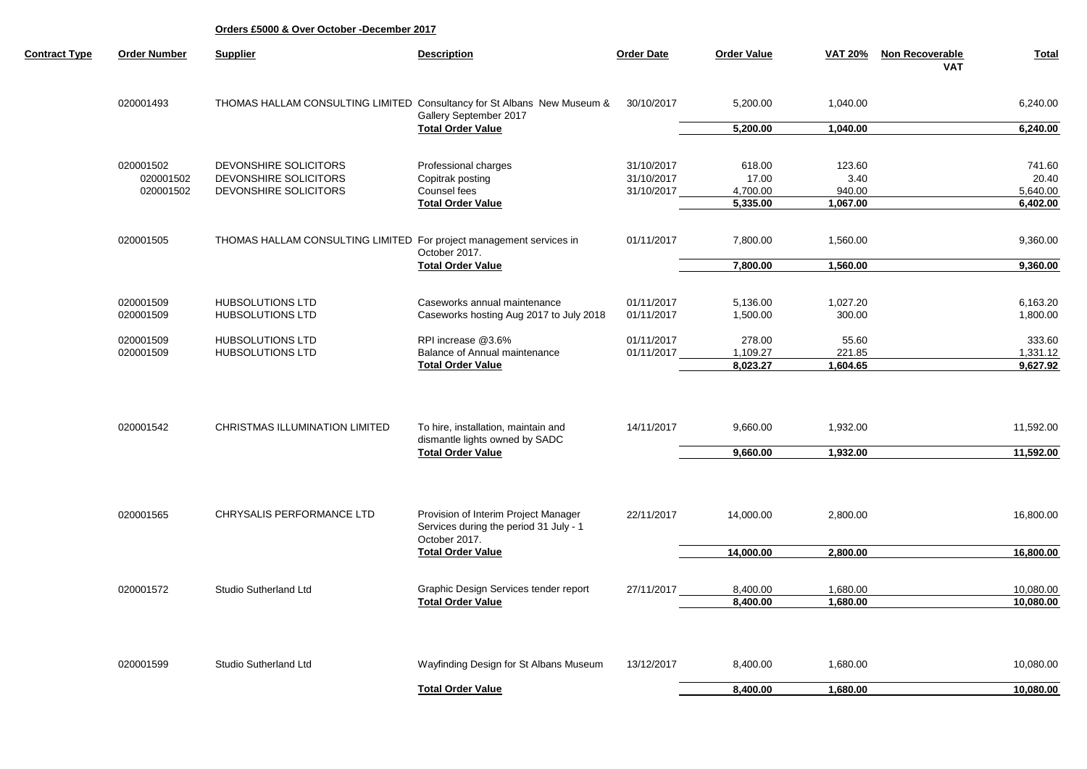| <b>Contract Type</b> | <b>Order Number</b> | <b>Supplier</b>                                                     | <b>Description</b>                                                                                | <b>Order Date</b> | <b>Order Value</b> | <b>VAT 20%</b> | Non Recoverable<br><b>VAT</b> | <b>Total</b> |
|----------------------|---------------------|---------------------------------------------------------------------|---------------------------------------------------------------------------------------------------|-------------------|--------------------|----------------|-------------------------------|--------------|
|                      | 020001493           |                                                                     | THOMAS HALLAM CONSULTING LIMITED Consultancy for St Albans New Museum &<br>Gallery September 2017 | 30/10/2017        | 5,200.00           | 1,040.00       |                               | 6,240.00     |
|                      |                     |                                                                     | <b>Total Order Value</b>                                                                          |                   | 5,200.00           | 1,040.00       |                               | 6,240.00     |
|                      | 020001502           | DEVONSHIRE SOLICITORS                                               | Professional charges                                                                              | 31/10/2017        | 618.00             | 123.60         |                               | 741.60       |
|                      | 020001502           | DEVONSHIRE SOLICITORS                                               | Copitrak posting                                                                                  | 31/10/2017        | 17.00              | 3.40           |                               | 20.40        |
|                      | 020001502           | DEVONSHIRE SOLICITORS                                               | Counsel fees                                                                                      | 31/10/2017        | 4,700.00           | 940.00         |                               | 5,640.00     |
|                      |                     |                                                                     | <b>Total Order Value</b>                                                                          |                   | 5,335.00           | 1,067.00       |                               | 6,402.00     |
|                      | 020001505           | THOMAS HALLAM CONSULTING LIMITED For project management services in |                                                                                                   | 01/11/2017        | 7,800.00           | 1,560.00       |                               | 9,360.00     |
|                      |                     |                                                                     | October 2017.                                                                                     |                   |                    |                |                               |              |
|                      |                     |                                                                     | <b>Total Order Value</b>                                                                          |                   | 7,800.00           | 1,560.00       |                               | 9,360.00     |
|                      |                     |                                                                     |                                                                                                   |                   |                    |                |                               |              |
|                      | 020001509           | <b>HUBSOLUTIONS LTD</b>                                             | Caseworks annual maintenance                                                                      | 01/11/2017        | 5,136.00           | 1,027.20       |                               | 6,163.20     |
|                      | 020001509           | <b>HUBSOLUTIONS LTD</b>                                             | Caseworks hosting Aug 2017 to July 2018                                                           | 01/11/2017        | 1,500.00           | 300.00         |                               | 1,800.00     |
|                      | 020001509           | <b>HUBSOLUTIONS LTD</b>                                             | RPI increase @3.6%                                                                                | 01/11/2017        | 278.00             | 55.60          |                               | 333.60       |
|                      | 020001509           | <b>HUBSOLUTIONS LTD</b>                                             | Balance of Annual maintenance                                                                     | 01/11/2017        | 1,109.27           | 221.85         |                               | 1,331.12     |
|                      |                     |                                                                     | <b>Total Order Value</b>                                                                          |                   | 8,023.27           | 1,604.65       |                               | 9,627.92     |
|                      |                     |                                                                     |                                                                                                   |                   |                    |                |                               |              |
|                      | 020001542           | <b>CHRISTMAS ILLUMINATION LIMITED</b>                               | To hire, installation, maintain and<br>dismantle lights owned by SADC<br><b>Total Order Value</b> | 14/11/2017        | 9,660.00           | 1,932.00       |                               | 11,592.00    |
|                      |                     |                                                                     |                                                                                                   |                   | 9,660.00           | 1,932.00       |                               | 11,592.00    |
|                      |                     |                                                                     |                                                                                                   |                   |                    |                |                               |              |
|                      | 020001565           | CHRYSALIS PERFORMANCE LTD                                           | Provision of Interim Project Manager                                                              | 22/11/2017        | 14,000.00          | 2,800.00       |                               | 16,800.00    |
|                      |                     |                                                                     | Services during the period 31 July - 1<br>October 2017.                                           |                   |                    |                |                               |              |
|                      |                     |                                                                     | <b>Total Order Value</b>                                                                          |                   | 14,000.00          | 2,800.00       |                               | 16,800.00    |
|                      |                     |                                                                     |                                                                                                   |                   |                    |                |                               |              |
|                      | 020001572           | Studio Sutherland Ltd                                               | Graphic Design Services tender report                                                             | 27/11/2017        | 8,400.00           | 1,680.00       |                               | 10,080.00    |
|                      |                     |                                                                     | <b>Total Order Value</b>                                                                          |                   | 8,400.00           | 1,680.00       |                               | 10,080.00    |
|                      |                     |                                                                     |                                                                                                   |                   |                    |                |                               |              |
|                      | 020001599           | Studio Sutherland Ltd                                               | Wayfinding Design for St Albans Museum                                                            | 13/12/2017        | 8,400.00           | 1,680.00       |                               | 10,080.00    |
|                      |                     |                                                                     | <b>Total Order Value</b>                                                                          |                   | 8,400.00           | 1,680.00       |                               | 10,080.00    |
|                      |                     |                                                                     |                                                                                                   |                   |                    |                |                               |              |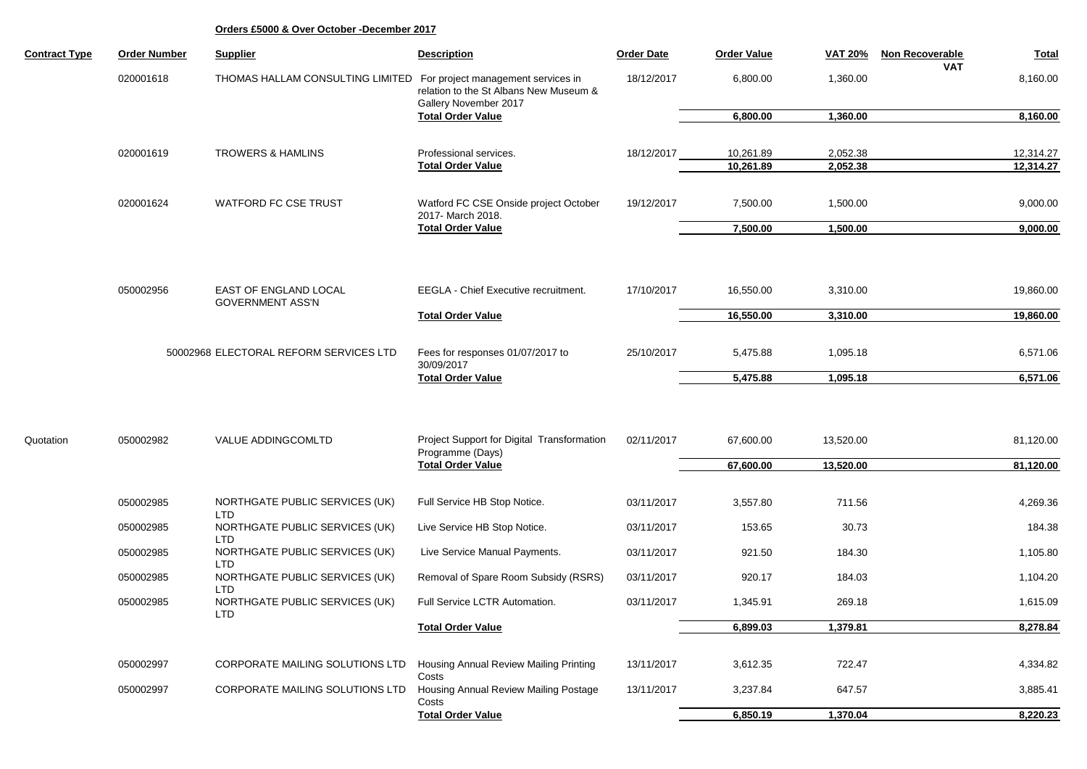| <b>Contract Type</b> | <b>Order Number</b>                    | <b>Supplier</b>                                            | <b>Description</b>                                                                                    | <b>Order Date</b> | <b>Order Value</b>     | <b>VAT 20%</b>       | <b>Non Recoverable</b> | <b>Total</b>           |
|----------------------|----------------------------------------|------------------------------------------------------------|-------------------------------------------------------------------------------------------------------|-------------------|------------------------|----------------------|------------------------|------------------------|
|                      | 020001618                              | THOMAS HALLAM CONSULTING LIMITED                           | For project management services in<br>relation to the St Albans New Museum &<br>Gallery November 2017 | 18/12/2017        | 6,800.00               | 1,360.00             | VAT                    | 8,160.00               |
|                      |                                        |                                                            | <b>Total Order Value</b>                                                                              |                   | 6,800.00               | 1,360.00             |                        | 8,160.00               |
|                      |                                        |                                                            |                                                                                                       |                   |                        |                      |                        |                        |
|                      | 020001619                              | <b>TROWERS &amp; HAMLINS</b>                               | Professional services.<br><b>Total Order Value</b>                                                    | 18/12/2017        | 10,261.89<br>10,261.89 | 2,052.38<br>2,052.38 |                        | 12,314.27<br>12,314.27 |
|                      |                                        |                                                            |                                                                                                       |                   |                        |                      |                        |                        |
|                      | 020001624                              | <b>WATFORD FC CSE TRUST</b>                                | Watford FC CSE Onside project October<br>2017- March 2018.                                            | 19/12/2017        | 7,500.00               | 1,500.00             |                        | 9,000.00               |
|                      |                                        |                                                            | <b>Total Order Value</b>                                                                              |                   | 7,500.00               | 1,500.00             |                        | 9,000.00               |
|                      |                                        |                                                            |                                                                                                       |                   |                        |                      |                        |                        |
|                      | 050002956                              | EAST OF ENGLAND LOCAL<br><b>GOVERNMENT ASS'N</b>           | EEGLA - Chief Executive recruitment.                                                                  | 17/10/2017        | 16,550.00              | 3,310.00             |                        | 19,860.00              |
|                      |                                        |                                                            | <b>Total Order Value</b>                                                                              |                   | 16,550.00              | 3,310.00             |                        | 19,860.00              |
|                      | 50002968 ELECTORAL REFORM SERVICES LTD |                                                            | Fees for responses 01/07/2017 to                                                                      |                   | 5,475.88               | 1,095.18             |                        |                        |
|                      |                                        |                                                            | 30/09/2017                                                                                            | 25/10/2017        |                        |                      |                        | 6,571.06               |
|                      |                                        |                                                            | <b>Total Order Value</b>                                                                              |                   | 5,475.88               | 1,095.18             |                        | 6,571.06               |
|                      |                                        |                                                            |                                                                                                       |                   |                        |                      |                        |                        |
| Quotation            | 050002982                              | VALUE ADDINGCOMLTD                                         | Project Support for Digital Transformation<br>Programme (Days)                                        | 02/11/2017        | 67,600.00              | 13,520.00            |                        | 81,120.00              |
|                      |                                        |                                                            | <b>Total Order Value</b>                                                                              |                   | 67,600.00              | 13,520.00            |                        | 81,120.00              |
|                      |                                        |                                                            |                                                                                                       |                   |                        |                      |                        |                        |
|                      | 050002985                              | NORTHGATE PUBLIC SERVICES (UK)<br><b>LTD</b>               | Full Service HB Stop Notice.                                                                          | 03/11/2017        | 3,557.80               | 711.56               |                        | 4,269.36               |
|                      | 050002985                              | NORTHGATE PUBLIC SERVICES (UK)<br><b>LTD</b>               | Live Service HB Stop Notice.                                                                          | 03/11/2017        | 153.65                 | 30.73                |                        | 184.38                 |
|                      | 050002985                              | NORTHGATE PUBLIC SERVICES (UK)<br><b>LTD</b>               | Live Service Manual Payments.                                                                         | 03/11/2017        | 921.50                 | 184.30               |                        | 1,105.80               |
|                      | 050002985                              | NORTHGATE PUBLIC SERVICES (UK)                             | Removal of Spare Room Subsidy (RSRS)                                                                  | 03/11/2017        | 920.17                 | 184.03               |                        | 1,104.20               |
|                      | 050002985                              | <b>LTD</b><br>NORTHGATE PUBLIC SERVICES (UK)<br><b>LTD</b> | Full Service LCTR Automation.                                                                         | 03/11/2017        | 1,345.91               | 269.18               |                        | 1,615.09               |
|                      |                                        |                                                            | <b>Total Order Value</b>                                                                              |                   | 6,899.03               | 1,379.81             |                        | 8,278.84               |
|                      |                                        |                                                            |                                                                                                       |                   |                        |                      |                        |                        |
|                      | 050002997                              | CORPORATE MAILING SOLUTIONS LTD                            | <b>Housing Annual Review Mailing Printing</b><br>Costs                                                | 13/11/2017        | 3,612.35               | 722.47               |                        | 4,334.82               |
|                      | 050002997                              | CORPORATE MAILING SOLUTIONS LTD                            | Housing Annual Review Mailing Postage<br>Costs                                                        | 13/11/2017        | 3,237.84               | 647.57               |                        | 3,885.41               |
|                      |                                        |                                                            | <b>Total Order Value</b>                                                                              |                   | 6,850.19               | 1,370.04             |                        | 8,220.23               |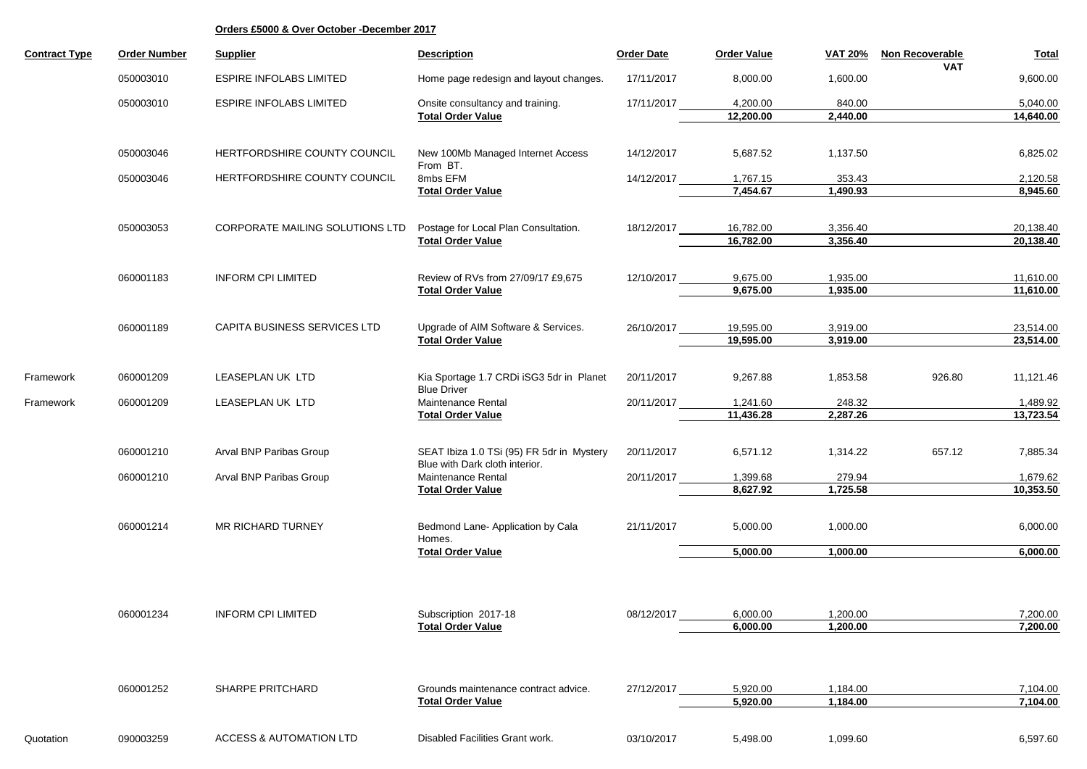| <b>Contract Type</b> | <b>Order Number</b> | <b>Supplier</b>                    | <b>Description</b>                                                          | <b>Order Date</b> | <b>Order Value</b> | <b>VAT 20%</b> | Non Recoverable<br><b>VAT</b> | <b>Total</b> |
|----------------------|---------------------|------------------------------------|-----------------------------------------------------------------------------|-------------------|--------------------|----------------|-------------------------------|--------------|
|                      | 050003010           | <b>ESPIRE INFOLABS LIMITED</b>     | Home page redesign and layout changes.                                      | 17/11/2017        | 8,000.00           | 1,600.00       |                               | 9,600.00     |
|                      | 050003010           | <b>ESPIRE INFOLABS LIMITED</b>     | Onsite consultancy and training.                                            | 17/11/2017        | 4,200.00           | 840.00         |                               | 5,040.00     |
|                      |                     |                                    | <b>Total Order Value</b>                                                    |                   | 12,200.00          | 2,440.00       |                               | 14,640.00    |
|                      |                     |                                    |                                                                             |                   |                    |                |                               |              |
|                      | 050003046           | HERTFORDSHIRE COUNTY COUNCIL       | New 100Mb Managed Internet Access<br>From BT.                               | 14/12/2017        | 5,687.52           | 1,137.50       |                               | 6,825.02     |
|                      | 050003046           | HERTFORDSHIRE COUNTY COUNCIL       | 8mbs EFM                                                                    | 14/12/2017        | 1,767.15           | 353.43         |                               | 2,120.58     |
|                      |                     |                                    | <b>Total Order Value</b>                                                    |                   | 7,454.67           | 1,490.93       |                               | 8,945.60     |
|                      |                     |                                    |                                                                             |                   |                    |                |                               |              |
|                      | 050003053           | CORPORATE MAILING SOLUTIONS LTD    | Postage for Local Plan Consultation.                                        | 18/12/2017        | 16,782.00          | 3,356.40       |                               | 20,138.40    |
|                      |                     |                                    | <b>Total Order Value</b>                                                    |                   | 16,782.00          | 3,356.40       |                               | 20,138.40    |
|                      | 060001183           | <b>INFORM CPI LIMITED</b>          | Review of RVs from 27/09/17 £9,675                                          | 12/10/2017        | 9,675.00           | 1,935.00       |                               | 11,610.00    |
|                      |                     |                                    | <b>Total Order Value</b>                                                    |                   | 9,675.00           | 1,935.00       |                               | 11,610.00    |
|                      |                     |                                    |                                                                             |                   |                    |                |                               |              |
|                      | 060001189           | CAPITA BUSINESS SERVICES LTD       | Upgrade of AIM Software & Services.                                         | 26/10/2017        | 19,595.00          | 3,919.00       |                               | 23,514.00    |
|                      |                     |                                    | <b>Total Order Value</b>                                                    |                   | 19,595.00          | 3,919.00       |                               | 23,514.00    |
|                      |                     |                                    |                                                                             |                   |                    |                |                               |              |
| Framework            | 060001209           | LEASEPLAN UK LTD                   | Kia Sportage 1.7 CRDi iSG3 5dr in Planet<br><b>Blue Driver</b>              | 20/11/2017        | 9,267.88           | 1,853.58       | 926.80                        | 11,121.46    |
| Framework            | 060001209           | LEASEPLAN UK LTD                   | <b>Maintenance Rental</b>                                                   | 20/11/2017        | 1,241.60           | 248.32         |                               | 1,489.92     |
|                      |                     |                                    | <b>Total Order Value</b>                                                    |                   | 11,436.28          | 2,287.26       |                               | 13,723.54    |
|                      |                     |                                    |                                                                             |                   |                    |                |                               |              |
|                      | 060001210           | Arval BNP Paribas Group            | SEAT Ibiza 1.0 TSi (95) FR 5dr in Mystery<br>Blue with Dark cloth interior. | 20/11/2017        | 6,571.12           | 1,314.22       | 657.12                        | 7,885.34     |
|                      | 060001210           | Arval BNP Paribas Group            | Maintenance Rental                                                          | 20/11/2017        | 1,399.68           | 279.94         |                               | 1,679.62     |
|                      |                     |                                    | <b>Total Order Value</b>                                                    |                   | 8,627.92           | 1,725.58       |                               | 10,353.50    |
|                      | 060001214           | <b>MR RICHARD TURNEY</b>           | Bedmond Lane- Application by Cala                                           | 21/11/2017        | 5,000.00           | 1,000.00       |                               | 6,000.00     |
|                      |                     |                                    | Homes.<br><b>Total Order Value</b>                                          |                   | 5,000.00           | 1,000.00       |                               | 6,000.00     |
|                      |                     |                                    |                                                                             |                   |                    |                |                               |              |
|                      | 060001234           | <b>INFORM CPI LIMITED</b>          | Subscription 2017-18                                                        | 08/12/2017        | 6,000.00           | 1,200.00       |                               | 7,200.00     |
|                      |                     |                                    | <b>Total Order Value</b>                                                    |                   | 6,000.00           | 1,200.00       |                               | 7,200.00     |
|                      |                     |                                    |                                                                             |                   |                    |                |                               |              |
|                      | 060001252           | SHARPE PRITCHARD                   | Grounds maintenance contract advice.                                        | 27/12/2017        | 5,920.00           | 1,184.00       |                               | 7,104.00     |
|                      |                     |                                    | <b>Total Order Value</b>                                                    |                   | 5,920.00           | 1,184.00       |                               | 7,104.00     |
| Quotation            | 090003259           | <b>ACCESS &amp; AUTOMATION LTD</b> | Disabled Facilities Grant work.                                             | 03/10/2017        | 5,498.00           | 1,099.60       |                               | 6,597.60     |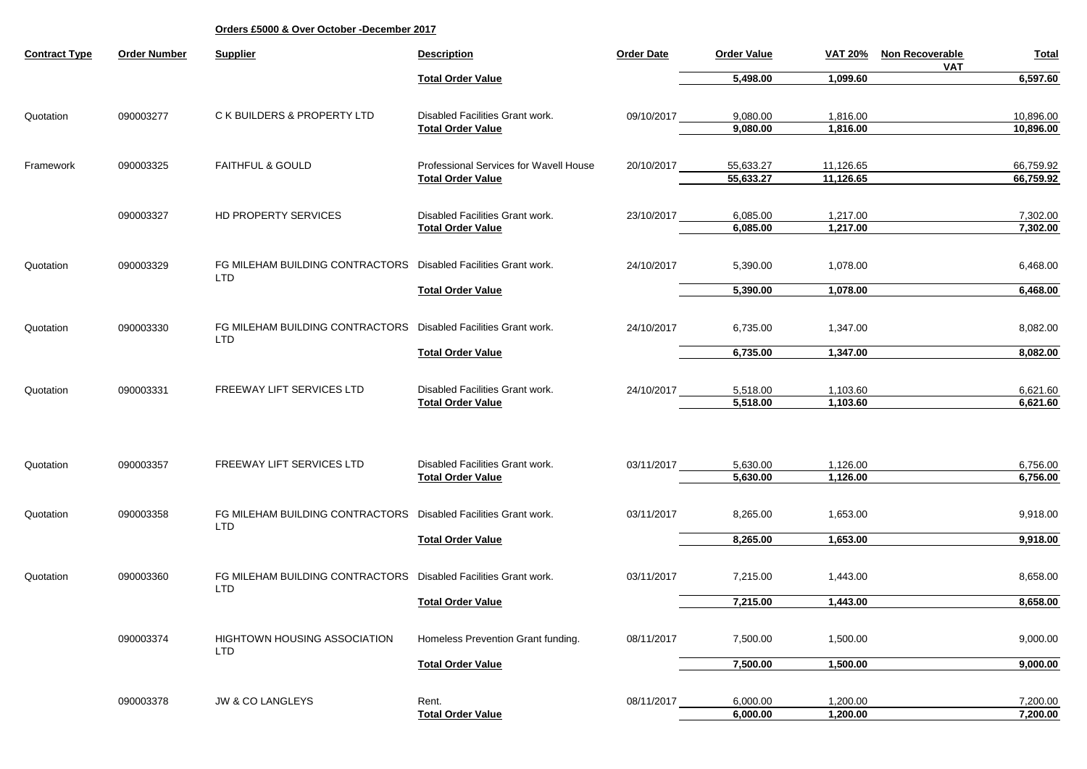| <b>Contract Type</b> | <b>Order Number</b> | <b>Supplier</b>                                                 | <b>Description</b>                     | <b>Order Date</b> | <b>Order Value</b> | <b>VAT 20%</b> | Non Recoverable<br><b>VAT</b> | <b>Total</b> |
|----------------------|---------------------|-----------------------------------------------------------------|----------------------------------------|-------------------|--------------------|----------------|-------------------------------|--------------|
|                      |                     |                                                                 | <b>Total Order Value</b>               |                   | 5,498.00           | 1,099.60       |                               | 6,597.60     |
| Quotation            | 090003277           | C K BUILDERS & PROPERTY LTD                                     | Disabled Facilities Grant work.        | 09/10/2017        | 9,080.00           | 1,816.00       |                               | 10,896.00    |
|                      |                     |                                                                 | <b>Total Order Value</b>               |                   | 9,080.00           | 1,816.00       |                               | 10,896.00    |
|                      |                     |                                                                 |                                        |                   |                    |                |                               |              |
| Framework            | 090003325           | <b>FAITHFUL &amp; GOULD</b>                                     | Professional Services for Wavell House | 20/10/2017        | 55,633.27          | 11,126.65      |                               | 66,759.92    |
|                      |                     |                                                                 | <b>Total Order Value</b>               |                   | 55,633.27          | 11,126.65      |                               | 66,759.92    |
|                      | 090003327           | HD PROPERTY SERVICES                                            | Disabled Facilities Grant work.        | 23/10/2017        | 6,085.00           | 1,217.00       |                               | 7,302.00     |
|                      |                     |                                                                 | <b>Total Order Value</b>               |                   | 6,085.00           | 1,217.00       |                               | 7,302.00     |
|                      |                     |                                                                 |                                        |                   |                    |                |                               |              |
| Quotation            | 090003329           | FG MILEHAM BUILDING CONTRACTORS                                 | Disabled Facilities Grant work.        | 24/10/2017        | 5,390.00           | 1,078.00       |                               | 6,468.00     |
|                      |                     | <b>LTD</b>                                                      | <b>Total Order Value</b>               |                   | 5,390.00           | 1,078.00       |                               | 6,468.00     |
|                      |                     |                                                                 |                                        |                   |                    |                |                               |              |
| Quotation            | 090003330           | FG MILEHAM BUILDING CONTRACTORS                                 | Disabled Facilities Grant work.        | 24/10/2017        | 6,735.00           | 1,347.00       |                               | 8,082.00     |
|                      |                     | <b>LTD</b>                                                      |                                        |                   |                    |                |                               |              |
|                      |                     |                                                                 | <b>Total Order Value</b>               |                   | 6,735.00           | 1,347.00       |                               | 8,082.00     |
| Quotation            | 090003331           | FREEWAY LIFT SERVICES LTD                                       | Disabled Facilities Grant work.        | 24/10/2017        | 5,518.00           | 1,103.60       |                               | 6,621.60     |
|                      |                     |                                                                 | <b>Total Order Value</b>               |                   | 5,518.00           | 1,103.60       |                               | 6,621.60     |
|                      |                     |                                                                 |                                        |                   |                    |                |                               |              |
|                      |                     |                                                                 |                                        |                   |                    |                |                               |              |
| Quotation            | 090003357           | FREEWAY LIFT SERVICES LTD                                       | Disabled Facilities Grant work.        | 03/11/2017        | 5,630.00           | 1,126.00       |                               | 6,756.00     |
|                      |                     |                                                                 | <b>Total Order Value</b>               |                   | 5,630.00           | 1,126.00       |                               | 6,756.00     |
|                      |                     |                                                                 |                                        |                   |                    |                |                               |              |
| Quotation            | 090003358           | FG MILEHAM BUILDING CONTRACTORS<br><b>LTD</b>                   | Disabled Facilities Grant work.        | 03/11/2017        | 8,265.00           | 1,653.00       |                               | 9,918.00     |
|                      |                     |                                                                 | <b>Total Order Value</b>               |                   | 8,265.00           | 1,653.00       |                               | 9,918.00     |
|                      |                     |                                                                 |                                        |                   |                    |                |                               |              |
| Quotation            | 090003360           | FG MILEHAM BUILDING CONTRACTORS Disabled Facilities Grant work. |                                        | 03/11/2017        | 7,215.00           | 1,443.00       |                               | 8,658.00     |
|                      |                     | <b>LTD</b>                                                      | <b>Total Order Value</b>               |                   | 7,215.00           | 1,443.00       |                               | 8,658.00     |
|                      |                     |                                                                 |                                        |                   |                    |                |                               |              |
|                      | 090003374           | <b>HIGHTOWN HOUSING ASSOCIATION</b>                             | Homeless Prevention Grant funding.     | 08/11/2017        | 7,500.00           | 1,500.00       |                               | 9,000.00     |
|                      |                     | <b>LTD</b>                                                      | <b>Total Order Value</b>               |                   | 7,500.00           | 1,500.00       |                               | 9,000.00     |
|                      |                     |                                                                 |                                        |                   |                    |                |                               |              |
|                      | 090003378           | <b>JW &amp; CO LANGLEYS</b>                                     | Rent.                                  | 08/11/2017        | 6,000.00           | 1,200.00       |                               | 7,200.00     |
|                      |                     |                                                                 | <b>Total Order Value</b>               |                   | 6,000.00           | 1,200.00       |                               | 7,200.00     |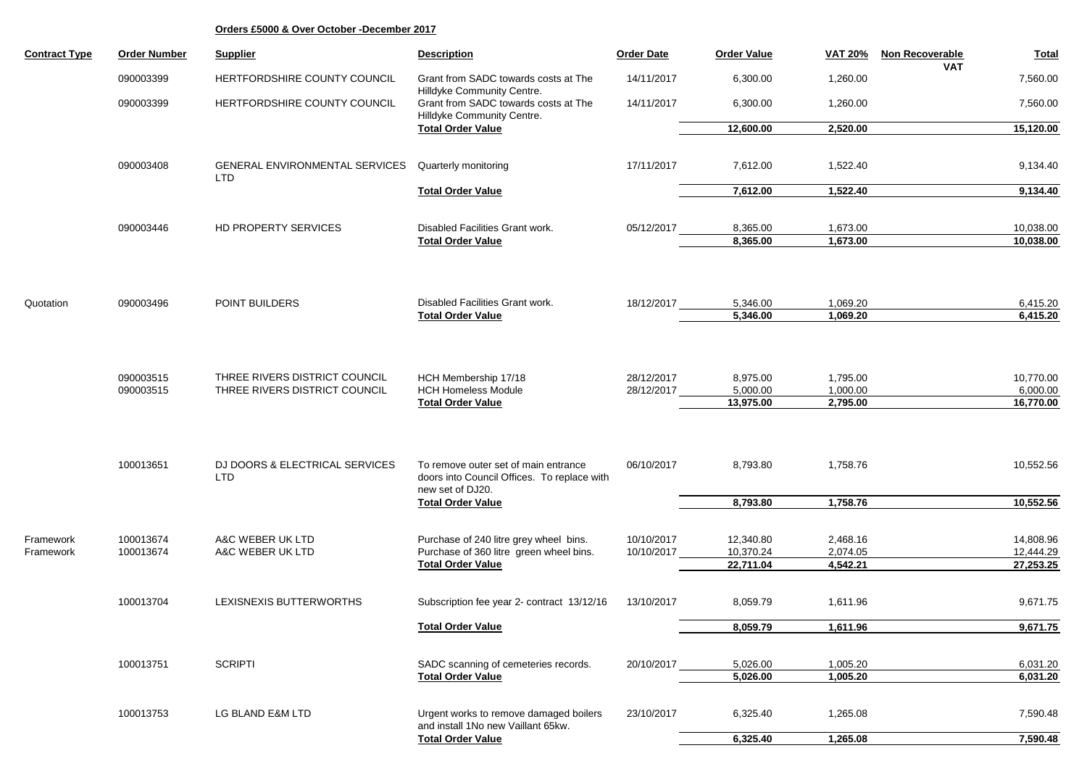| <b>Contract Type</b>   | <b>Order Number</b>    | <b>Supplier</b>                                                | <b>Description</b>                                                                               | <b>Order Date</b>        | <b>Order Value</b>     | <b>VAT 20%</b>       | Non Recoverable | <b>Total</b>           |
|------------------------|------------------------|----------------------------------------------------------------|--------------------------------------------------------------------------------------------------|--------------------------|------------------------|----------------------|-----------------|------------------------|
|                        | 090003399              | HERTFORDSHIRE COUNTY COUNCIL                                   | Grant from SADC towards costs at The                                                             | 14/11/2017               | 6,300.00               | 1,260.00             | <b>VAT</b>      | 7,560.00               |
|                        | 090003399              | HERTFORDSHIRE COUNTY COUNCIL                                   | Hilldyke Community Centre.<br>Grant from SADC towards costs at The<br>Hilldyke Community Centre. | 14/11/2017               | 6,300.00               | 1,260.00             |                 | 7,560.00               |
|                        |                        |                                                                | <b>Total Order Value</b>                                                                         |                          | 12,600.00              | 2,520.00             |                 | 15,120.00              |
|                        | 090003408              | GENERAL ENVIRONMENTAL SERVICES<br><b>LTD</b>                   | Quarterly monitoring                                                                             | 17/11/2017               | 7,612.00               | 1,522.40             |                 | 9,134.40               |
|                        |                        |                                                                | <b>Total Order Value</b>                                                                         |                          | 7,612.00               | 1,522.40             |                 | 9,134.40               |
|                        | 090003446              | <b>HD PROPERTY SERVICES</b>                                    | Disabled Facilities Grant work.<br><b>Total Order Value</b>                                      | 05/12/2017               | 8,365.00<br>8,365.00   | 1,673.00<br>1,673.00 |                 | 10,038.00<br>10,038.00 |
|                        |                        |                                                                |                                                                                                  |                          |                        |                      |                 |                        |
| Quotation              | 090003496              | POINT BUILDERS                                                 | Disabled Facilities Grant work.                                                                  | 18/12/2017               | 5,346.00               | 1,069.20             |                 | 6,415.20               |
|                        |                        |                                                                | <b>Total Order Value</b>                                                                         |                          | 5,346.00               | 1,069.20             |                 | 6,415.20               |
|                        |                        |                                                                |                                                                                                  |                          |                        |                      |                 |                        |
|                        | 090003515<br>090003515 | THREE RIVERS DISTRICT COUNCIL<br>THREE RIVERS DISTRICT COUNCIL | HCH Membership 17/18<br><b>HCH Homeless Module</b>                                               | 28/12/2017<br>28/12/2017 | 8,975.00<br>5,000.00   | 1,795.00<br>1,000.00 |                 | 10,770.00<br>6,000.00  |
|                        |                        |                                                                | <b>Total Order Value</b>                                                                         |                          | 13,975.00              | 2,795.00             |                 | 16,770.00              |
|                        | 100013651              | DJ DOORS & ELECTRICAL SERVICES                                 | To remove outer set of main entrance                                                             | 06/10/2017               | 8,793.80               | 1,758.76             |                 | 10,552.56              |
|                        |                        | <b>LTD</b>                                                     | doors into Council Offices. To replace with<br>new set of DJ20.                                  |                          |                        |                      |                 |                        |
|                        |                        |                                                                | <b>Total Order Value</b>                                                                         |                          | 8,793.80               | 1,758.76             |                 | 10,552.56              |
| Framework<br>Framework | 100013674<br>100013674 | A&C WEBER UK LTD<br>A&C WEBER UK LTD                           | Purchase of 240 litre grey wheel bins.<br>Purchase of 360 litre green wheel bins.                | 10/10/2017<br>10/10/2017 | 12,340.80<br>10,370.24 | 2,468.16<br>2,074.05 |                 | 14,808.96<br>12,444.29 |
|                        |                        |                                                                | <b>Total Order Value</b>                                                                         |                          | 22,711.04              | 4,542.21             |                 | 27,253.25              |
|                        | 100013704              | LEXISNEXIS BUTTERWORTHS                                        | Subscription fee year 2- contract 13/12/16                                                       | 13/10/2017               | 8,059.79               | 1,611.96             |                 | 9,671.75               |
|                        |                        |                                                                | <b>Total Order Value</b>                                                                         |                          | 8,059.79               | 1,611.96             |                 | 9,671.75               |
|                        | 100013751              | <b>SCRIPTI</b>                                                 | SADC scanning of cemeteries records.                                                             | 20/10/2017               | 5,026.00               | 1,005.20             |                 | 6,031.20               |
|                        |                        |                                                                | <b>Total Order Value</b>                                                                         |                          | 5,026.00               | 1,005.20             |                 | 6,031.20               |
|                        | 100013753              | LG BLAND E&M LTD                                               | Urgent works to remove damaged boilers<br>and install 1No new Vaillant 65kw.                     | 23/10/2017               | 6,325.40               | 1,265.08             |                 | 7,590.48               |
|                        |                        |                                                                | <b>Total Order Value</b>                                                                         |                          | 6,325.40               | 1,265.08             |                 | 7,590.48               |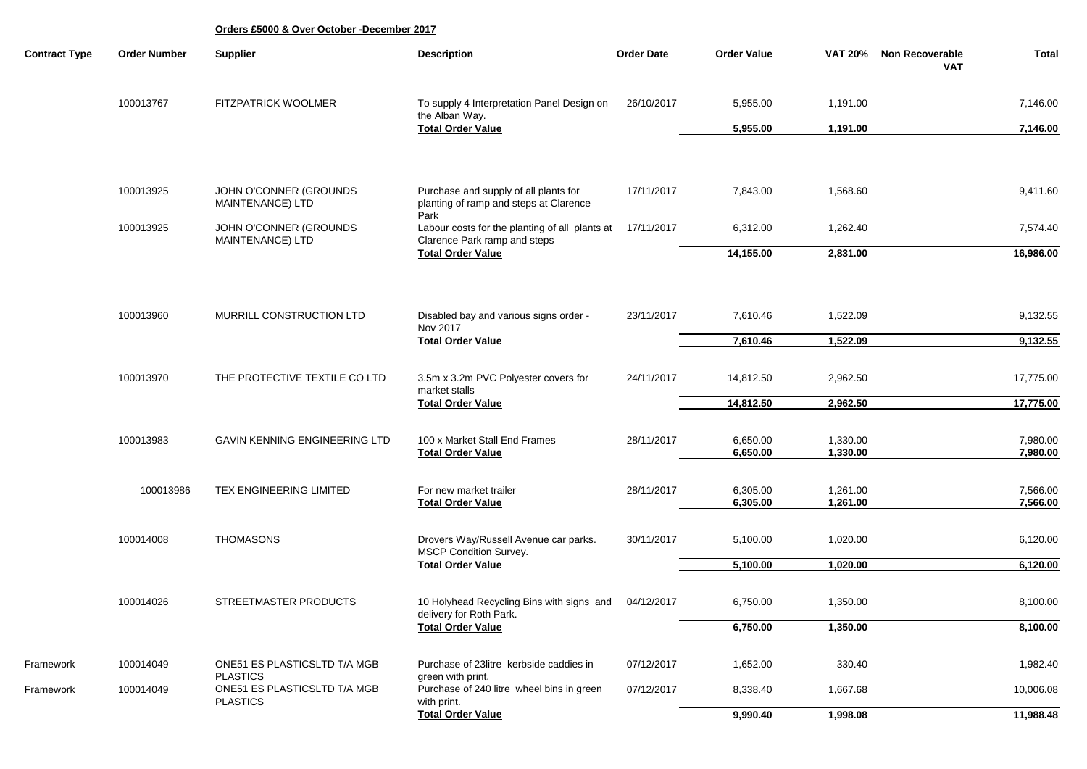| <b>Contract Type</b> | <b>Order Number</b>      | <b>Supplier</b>                                 | <b>Description</b>                                                                | <b>Order Date</b> | <b>Order Value</b>   | <b>VAT 20%</b>       | <b>Non Recoverable</b><br>VAT | <b>Total</b>         |
|----------------------|--------------------------|-------------------------------------------------|-----------------------------------------------------------------------------------|-------------------|----------------------|----------------------|-------------------------------|----------------------|
|                      | 100013767                | <b>FITZPATRICK WOOLMER</b>                      | To supply 4 Interpretation Panel Design on                                        | 26/10/2017        | 5,955.00             | 1,191.00             |                               | 7,146.00             |
|                      |                          |                                                 | the Alban Way.<br><b>Total Order Value</b>                                        |                   | 5,955.00             | 1,191.00             |                               | 7,146.00             |
|                      | 100013925                | JOHN O'CONNER (GROUNDS<br>MAINTENANCE) LTD      | Purchase and supply of all plants for<br>planting of ramp and steps at Clarence   | 17/11/2017        | 7,843.00             | 1,568.60             |                               | 9,411.60             |
|                      | 100013925                | JOHN O'CONNER (GROUNDS                          | Park<br>Labour costs for the planting of all plants at                            | 17/11/2017        | 6,312.00             | 1,262.40             |                               | 7,574.40             |
|                      |                          | MAINTENANCE) LTD                                | Clarence Park ramp and steps<br><b>Total Order Value</b>                          |                   | 14,155.00            | 2,831.00             |                               | 16,986.00            |
|                      | 100013960                | MURRILL CONSTRUCTION LTD                        | Disabled bay and various signs order -<br>Nov 2017                                | 23/11/2017        | 7,610.46             | 1,522.09             |                               | 9,132.55             |
|                      | <b>Total Order Value</b> |                                                 |                                                                                   | 7,610.46          | 1,522.09             |                      | 9,132.55                      |                      |
|                      | 100013970                | THE PROTECTIVE TEXTILE CO LTD                   | 3.5m x 3.2m PVC Polyester covers for<br>market stalls<br><b>Total Order Value</b> | 24/11/2017        | 14,812.50            | 2,962.50             |                               | 17,775.00            |
|                      |                          |                                                 |                                                                                   |                   | 14,812.50            | 2,962.50             |                               | 17,775.00            |
|                      | 100013983                | GAVIN KENNING ENGINEERING LTD                   | 100 x Market Stall End Frames<br><b>Total Order Value</b>                         | 28/11/2017        | 6,650.00<br>6,650.00 | 1,330.00<br>1,330.00 |                               | 7,980.00<br>7,980.00 |
|                      | 100013986                | TEX ENGINEERING LIMITED                         | For new market trailer<br><b>Total Order Value</b>                                | 28/11/2017        | 6,305.00<br>6,305.00 | 1,261.00<br>1,261.00 |                               | 7,566.00<br>7,566.00 |
|                      | 100014008                | <b>THOMASONS</b>                                | Drovers Way/Russell Avenue car parks.<br>MSCP Condition Survey.                   | 30/11/2017        | 5,100.00             | 1,020.00             |                               | 6,120.00             |
|                      |                          |                                                 | <b>Total Order Value</b>                                                          |                   | 5,100.00             | 1,020.00             |                               | 6,120.00             |
|                      | 100014026                | STREETMASTER PRODUCTS                           | 10 Holyhead Recycling Bins with signs and<br>delivery for Roth Park.              | 04/12/2017        | 6,750.00             | 1,350.00             |                               | 8,100.00             |
|                      |                          |                                                 | <b>Total Order Value</b>                                                          |                   | 6,750.00             | 1,350.00             |                               | 8,100.00             |
| Framework            | 100014049                | ONE51 ES PLASTICSLTD T/A MGB<br><b>PLASTICS</b> | Purchase of 23litre kerbside caddies in<br>green with print.                      | 07/12/2017        | 1,652.00             | 330.40               |                               | 1,982.40             |
| Framework            | 100014049                | ONE51 ES PLASTICSLTD T/A MGB<br><b>PLASTICS</b> | Purchase of 240 litre wheel bins in green<br>with print.                          | 07/12/2017        | 8,338.40             | 1,667.68             |                               | 10,006.08            |
|                      |                          |                                                 | <b>Total Order Value</b>                                                          |                   | 9,990.40             | 1,998.08             |                               | 11,988.48            |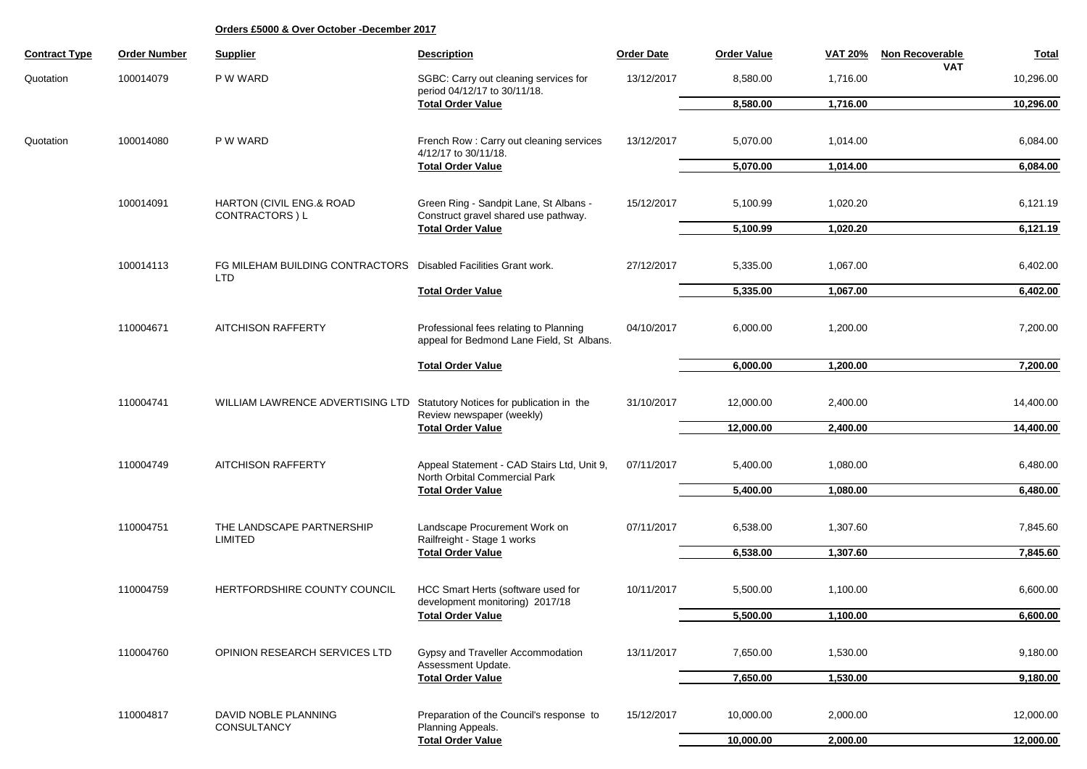| <b>Contract Type</b> | <b>Order Number</b> | <b>Supplier</b>                                                        | <b>Description</b>                                                                                      | <b>Order Date</b> | <b>Order Value</b> | <b>VAT 20%</b> | Non Recoverable | <b>Total</b> |
|----------------------|---------------------|------------------------------------------------------------------------|---------------------------------------------------------------------------------------------------------|-------------------|--------------------|----------------|-----------------|--------------|
| Quotation            | 100014079           | P W WARD                                                               | SGBC: Carry out cleaning services for<br>period 04/12/17 to 30/11/18.                                   | 13/12/2017        | 8,580.00           | 1,716.00       | <b>VAT</b>      | 10,296.00    |
|                      |                     |                                                                        | <b>Total Order Value</b>                                                                                |                   | 8,580.00           | 1,716.00       |                 | 10,296.00    |
|                      |                     |                                                                        |                                                                                                         |                   |                    |                |                 |              |
| Quotation            | 100014080           | P W WARD                                                               | French Row: Carry out cleaning services<br>4/12/17 to 30/11/18.                                         | 13/12/2017        | 5,070.00           | 1,014.00       |                 | 6,084.00     |
|                      |                     |                                                                        | <b>Total Order Value</b>                                                                                |                   | 5,070.00           | 1,014.00       |                 | 6,084.00     |
|                      |                     |                                                                        |                                                                                                         |                   |                    |                |                 |              |
|                      | 100014091           | HARTON (CIVIL ENG.& ROAD<br>CONTRACTORS ) L                            | Green Ring - Sandpit Lane, St Albans -<br>Construct gravel shared use pathway.                          | 15/12/2017        | 5,100.99           | 1,020.20       |                 | 6,121.19     |
|                      |                     |                                                                        | <b>Total Order Value</b>                                                                                |                   | 5,100.99           | 1,020.20       |                 | 6,121.19     |
|                      |                     |                                                                        |                                                                                                         |                   |                    |                |                 |              |
|                      | 100014113           | FG MILEHAM BUILDING CONTRACTORS Disabled Facilities Grant work.<br>LTD |                                                                                                         | 27/12/2017        | 5,335.00           | 1,067.00       |                 | 6,402.00     |
|                      |                     |                                                                        | <b>Total Order Value</b>                                                                                |                   | 5,335.00           | 1,067.00       |                 | 6,402.00     |
|                      |                     |                                                                        |                                                                                                         |                   |                    |                |                 |              |
|                      | 110004671           | <b>AITCHISON RAFFERTY</b>                                              | Professional fees relating to Planning<br>appeal for Bedmond Lane Field, St Albans.                     | 04/10/2017        | 6,000.00           | 1,200.00       |                 | 7,200.00     |
|                      |                     |                                                                        | <b>Total Order Value</b>                                                                                |                   | 6,000.00           | 1,200.00       |                 | 7,200.00     |
|                      |                     |                                                                        |                                                                                                         |                   |                    |                |                 |              |
|                      | 110004741           | WILLIAM LAWRENCE ADVERTISING LTD                                       | Statutory Notices for publication in the<br>Review newspaper (weekly)<br><b>Total Order Value</b>       | 31/10/2017        | 12,000.00          | 2,400.00       |                 | 14,400.00    |
|                      |                     |                                                                        |                                                                                                         |                   | 12,000.00          | 2,400.00       |                 | 14,400.00    |
|                      |                     |                                                                        |                                                                                                         |                   |                    |                |                 |              |
|                      | 110004749           | <b>AITCHISON RAFFERTY</b>                                              | Appeal Statement - CAD Stairs Ltd, Unit 9,<br>North Orbital Commercial Park<br><b>Total Order Value</b> | 07/11/2017        | 5,400.00           | 1,080.00       |                 | 6,480.00     |
|                      |                     |                                                                        |                                                                                                         |                   | 5,400.00           | 1,080.00       |                 | 6,480.00     |
|                      |                     |                                                                        |                                                                                                         |                   |                    |                |                 |              |
|                      | 110004751           | THE LANDSCAPE PARTNERSHIP<br><b>LIMITED</b>                            | Landscape Procurement Work on                                                                           | 07/11/2017        | 6,538.00           | 1,307.60       |                 | 7,845.60     |
|                      |                     |                                                                        | Railfreight - Stage 1 works                                                                             |                   |                    |                |                 |              |
|                      |                     |                                                                        | <b>Total Order Value</b>                                                                                |                   | 6,538.00           | 1,307.60       |                 | 7,845.60     |
|                      |                     |                                                                        |                                                                                                         |                   |                    |                |                 |              |
|                      | 110004759           | HERTFORDSHIRE COUNTY COUNCIL                                           | HCC Smart Herts (software used for                                                                      | 10/11/2017        | 5,500.00           | 1,100.00       |                 | 6,600.00     |
|                      |                     |                                                                        | development monitoring) 2017/18                                                                         |                   |                    |                |                 |              |
|                      |                     |                                                                        | <b>Total Order Value</b>                                                                                |                   | 5,500.00           | 1,100.00       |                 | 6,600.00     |
|                      |                     |                                                                        |                                                                                                         |                   |                    |                |                 |              |
|                      | 110004760           | OPINION RESEARCH SERVICES LTD                                          | Gypsy and Traveller Accommodation                                                                       | 13/11/2017        | 7,650.00           | 1,530.00       |                 | 9,180.00     |
|                      |                     |                                                                        | Assessment Update.<br><b>Total Order Value</b>                                                          |                   | 7,650.00           | 1,530.00       |                 | 9,180.00     |
|                      |                     |                                                                        |                                                                                                         |                   |                    |                |                 |              |
|                      |                     |                                                                        |                                                                                                         |                   |                    |                |                 |              |
|                      | 110004817           | DAVID NOBLE PLANNING<br>CONSULTANCY                                    | Preparation of the Council's response to<br>Planning Appeals.                                           | 15/12/2017        | 10,000.00          | 2,000.00       |                 | 12,000.00    |
|                      |                     |                                                                        | <b>Total Order Value</b>                                                                                |                   | 10,000.00          | 2,000.00       |                 | 12,000.00    |
|                      |                     |                                                                        |                                                                                                         |                   |                    |                |                 |              |